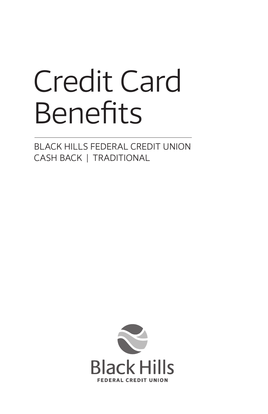# Credit Card Benefits

BLACK HILLS FEDERAL CREDIT UNION CASH BACK | TRADITIONAL

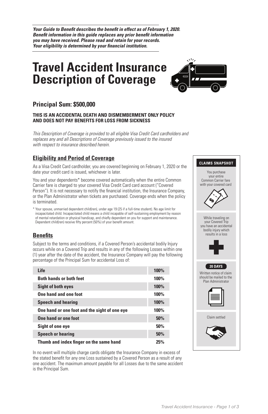*Your Guide to Benefit describes the benefit in effect as of February 1, 2020. Benefit information in this guide replaces any prior benefit information you may have received. Please read and retain for your records. Your eligibility is determined by your financial institution.*

## **Travel Accident Insurance Description of Coverage**



#### **Principal Sum: \$500,000**

#### **THIS IS AN ACCIDENTAL DEATH AND DISMEMBERMENT ONLY POLICY AND DOES NOT PAY BENEFITS FOR LOSS FROM SICKNESS**

*This Description of Coverage is provided to all eligible Visa Credit Card cardholders and replaces any and all Descriptions of Coverage previously issued to the insured with respect to insurance described herein.*

#### **Eligibility and Period of Coverage**

As a Visa Credit Card cardholder, you are covered beginning on February 1, 2020 or the date your credit card is issued, whichever is later.

You and your dependents\* become covered automatically when the entire Common Carrier fare is charged to your covered Visa Credit Card card account ("Covered Person"). It is not necessary to notify the financial institution, the Insurance Company, or the Plan Administrator when tickets are purchased. Coverage ends when the policy is terminated.

\* Your spouse, unmarried dependent child(ren), under age 19 (25 if a full-time student). No age limit for incapacitated child. Incapacitated child means a child incapable of self-sustaining employment by reason of mental retardation or physical handicap, and chiefly dependent on you for support and maintenance. Dependent child(ren) receive fifty percent (50%) of your benefit amount.

#### **Benefits**

Subject to the terms and conditions, if a Covered Person's accidental bodily Injury occurs while on a Covered Trip and results in any of the following Losses within one (1) year after the date of the accident, the Insurance Company will pay the following percentage of the Principal Sum for accidental Loss of:

| Life                                          | <b>100%</b> |
|-----------------------------------------------|-------------|
| <b>Both hands or both feet</b>                | 100%        |
| <b>Sight of both eyes</b>                     | <b>100%</b> |
| One hand and one foot                         | 100%        |
| <b>Speech and hearing</b>                     | <b>100%</b> |
| One hand or one foot and the sight of one eye | 100%        |
| One hand or one foot                          | 50%         |
| Sight of one eye                              | 50%         |
| <b>Speech or hearing</b>                      | 50%         |
| Thumb and index finger on the same hand       | 25%         |

In no event will multiple charge cards obligate the Insurance Company in excess of the stated benefit for any one Loss sustained by a Covered Person as a result of any one accident. The maximum amount payable for all Losses due to the same accident is the Principal Sum.

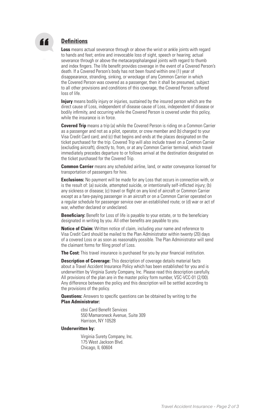

#### **Definitions**

**Loss** means actual severance through or above the wrist or ankle joints with regard to hands and feet; entire and irrevocable loss of sight, speech or hearing; actual severance through or above the metacarpophalangeal joints with regard to thumb and index fingers. The life benefit provides coverage in the event of a Covered Person's death. If a Covered Person's body has not been found within one (1) year of disappearance, stranding, sinking, or wreckage of any Common Carrier in which the Covered Person was covered as a passenger, then it shall be presumed, subject to all other provisions and conditions of this coverage, the Covered Person suffered loss of life.

**Injury** means bodily injury or injuries, sustained by the insured person which are the direct cause of Loss, independent of disease cause of Loss, independent of disease or bodily infirmity, and occurring while the Covered Person is covered under this policy, while the insurance is in force.

**Covered Trip** means a trip (a) while the Covered Person is riding on a Common Carrier as a passenger and not as a pilot, operator, or crew member and (b) charged to your Visa Credit Card card; and (c) that begins and ends at the places designated on the ticket purchased for the trip. Covered Trip will also include travel on a Common Carrier (excluding aircraft), directly to, from, or at any Common Carrier terminal, which travel immediately precedes departure to or follows arrival at the destination designated on the ticket purchased for the Covered Trip.

**Common Carrier** means any scheduled airline, land, or water conveyance licensed for transportation of passengers for hire.

**Exclusions:** No payment will be made for any Loss that occurs in connection with, or is the result of: (a) suicide, attempted suicide, or intentionally self-inflicted injury; (b) any sickness or disease; (c) travel or flight on any kind of aircraft or Common Carrier except as a fare-paying passenger in an aircraft or on a Common Carrier operated on a regular schedule for passenger service over an established route; or (d) war or act of war, whether declared or undeclared.

**Beneficiary:** Benefit for Loss of life is payable to your estate, or to the beneficiary designated in writing by you. All other benefits are payable to you.

**Notice of Claim:** Written notice of claim, including your name and reference to Visa Credit Card should be mailed to the Plan Administrator within twenty (20) days of a covered Loss or as soon as reasonably possible. The Plan Administrator will send the claimant forms for filing proof of Loss.

**The Cost:** This travel insurance is purchased for you by your financial institution.

**Description of Coverage:** This description of coverage details material facts about a Travel Accident Insurance Policy which has been established for you and is underwritten by Virginia Surety Company, Inc. Please read this description carefully. All provisions of the plan are in the master policy form number, VSC-VCC-01 (2/00). Any difference between the policy and this description will be settled according to the provisions of the policy.

**Questions:** Answers to specific questions can be obtained by writing to the **Plan Administrator:**

> cbsi Card Benefit Services 550 Mamaroneck Avenue, Suite 309 Harrison, NY 10528

#### **Underwritten by:**

Virginia Surety Company, Inc. 175 West Jackson Blvd. Chicago, IL 60604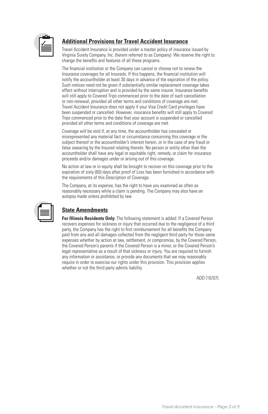

#### **Additional Provisions for Travel Accident Insurance**

Travel Accident Insurance is provided under a master policy of insurance issued by Virginia Surety Company, Inc. (herein referred to as Company). We reserve the right to change the benefits and features of all these programs.

The financial institution or the Company can cancel or choose not to renew the Insurance coverages for all Insureds. If this happens, the financial institution will notify the accountholder at least 30 days in advance of the expiration of the policy. Such notices need not be given if substantially similar replacement coverage takes effect without interruption and is provided by the same insurer. Insurance benefits will still apply to Covered Trips commenced prior to the date of such cancellation or non-renewal, provided all other terms and conditions of coverage are met. Travel Accident Insurance does not apply if your Visa Credit Card privileges have been suspended or cancelled. However, insurance benefits will still apply to Covered Trips commenced prior to the date that your account is suspended or cancelled provided all other terms and conditions of coverage are met.

Coverage will be void if, at any time, the accountholder has concealed or misrepresented any material fact or circumstance concerning this coverage or the subject thereof or the accountholder's interest herein, or in the case of any fraud or false swearing by the Insured relating thereto. No person or entity other than the accountholder shall have any legal or equitable right, remedy, or claim for insurance proceeds and/or damages under or arising out of this coverage.

No action at law or in equity shall be brought to recover on this coverage prior to the expiration of sixty (60) days after proof of Loss has been furnished in accordance with the requirements of this Description of Coverage.

The Company, at its expense, has the right to have you examined as often as reasonably necessary while a claim is pending. The Company may also have an autopsy made unless prohibited by law.

#### **State Amendments**

**For Illinois Residents Only:** The following statement is added: If a Covered Person recovers expenses for sickness or injury that occurred due to the negligence of a third party, the Company has the right to first reimbursement for all benefits the Company paid from any and all damages collected from the negligent third party for those same expenses whether by action at law, settlement, or compromise, by the Covered Person, the Covered Person's parents if the Covered Person is a minor, or the Covered Person's legal representative as a result of that sickness or injury. You are required to furnish any information or assistance, or provide any documents that we may reasonably require in order to exercise our rights under this provision. This provision applies whether or not the third party admits liability.

ADD (10/07)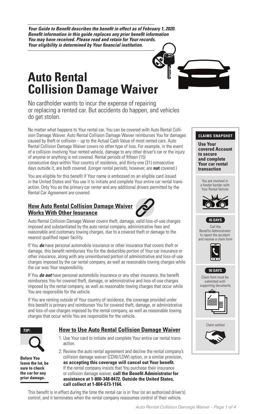*Your Guide to Benefit describes the benefit in effect as of February 1, 2020. Benefit information in this guide replaces any prior benefit information You may have received. Please read and retain for Your records. Your eligibility is determined by Your financial institution.*

## **Auto Rental Collision Damage Waiver**

No cardholder wants to incur the expense of repairing or replacing a rented car. But accidents do happen, and vehicles do get stolen.

No matter what happens to Your rental car, You can be covered with Auto Rental Collision Damage Waiver. Auto Rental Collision Damage Waiver reimburses You for damages caused by theft or collision – up to the Actual Cash Value of most rented cars. Auto Rental Collision Damage Waiver covers no other type of loss. For example, in the event of a collision involving Your rented vehicle, damage to any other driver's car or the injury of anyone or anything is not covered. Rental periods of fifteen (15) consecutive days within Your country of residence, and thirty-one (31) consecutive days outside it, are both covered. (Longer rental periods, however, are **not** covered.) You are involved in **CLAIMS SNAPSHOT**

You are eligible for this benefit if Your name is embossed on an eligible card issued in the United States and You use it to initiate and complete Your entire car rental transaction. Only You as the primary car renter and any additional drivers permitted by the Rental Car Agreement are covered. a fender bender with

#### **How Auto Rental Collision Damage Waiver Works With Other Insurance**



Auto Rental Collision Damage Waiver covers theft, damage, valid loss-of-use charges imposed and substantiated by the auto rental company, administrative fees and reasonable and customary towing charges, due to a covered theft or damage to the nearest qualified repair facility. Submit Claim Form

If You *do* have personal automobile insurance or other insurance that covers theft or damage, this benefit reimburses You for the deductible portion of Your car insurance or other insurance, along with any unreimbursed portion of administrative and loss-of-use | charges imposed by the car rental company, as well as reasonable towing charges while the car was Your responsibility.

If You *do not* have personal automobile insurance or any other insurance, the benefit reimburses You for covered theft, damage, or administrative and loss-of-use charges imposed by the rental company, as well as reasonable towing charges that occur while You are responsible for the vehicle.

If You are renting outside of Your country of residence, the coverage provided under this benefit is primary and reimburses You for covered theft, damage, or administrative and loss-of-use charges imposed by the rental company, as well as reasonable towing charges that occur while You are responsible for the vehicle.



*TIP:* **prior damage. Before You leave the lot, be sure to check the car for any** 

#### **How to Use Auto Rental Collision Damage Waiver**

- 1. Use Your card to initiate and complete Your entire car rental transaction.
- 2. Review the auto rental agreement and decline the rental company's collision damage waiver (CDW/LDW) option, or a similar provision, **as accepting this coverage will cancel out Your benefit.** If the rental company insists that You purchase their insurance or collision damage waiver, **call the Benefit Administrator for assistance at 1-800-348-8472. Outside the United States, call collect at 1-804-673-1164.**

This benefit is in effect during the time the rental car is in Your (or an authorized driver's) control, and it terminates when the rental company reassumes control of their vehicle.



**Use Your covered Account to secure and complete Your car rental transaction**

You are involved in a fender bender with Your Rental Vehicle



Benefits Administrator; to report accident; recieve claim form



Call the Benefits Administrator to report the accident and receive a claim form



**90 DAYS**

Claim form must be submitted with supporting documents



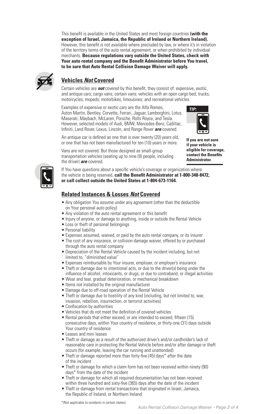**to be sure that Auto Rental Collision Damage Waiver will apply. CLAIMS IN A CLAIMS OF the auto religion agreement, or when promoted by marvidian** This benefit is available in the United States and most foreign countries **(with the exception of Israel, Jamaica, the Republic of Ireland or Northern Ireland).** However, this benefit is not available where precluded by law, or where it's in violation of the territory terms of the auto rental agreement, or when prohibited by individual **Your auto rental company and the Benefit Administrator before You travel,**  *TIP:*



### **Vehicles Not Covered**

Certain vehicles are *not* covered by this benefit, they consist of: expensive, exotic, and antique cars; cargo vans; certain vans; vehicles with an open cargo bed; trucks; motorcycles; mopeds; motorbikes; limousines; and recreational vehicles.

riowov<br>Infiniti Infiniti, Land Rover, Lexus, Lincoln, and Range Rover *are* covered. Maserati, Maybach, McLaren, Porsche, Rolls Royce, and Tesla. Examples of expensive or exotic cars are the Alfa Romeo, Aston Martin, Bentley, Corvette, Ferrari, Jaguar, Lamborghini, Lotus, However, selected models of Audi, BMW, Mercedes-Benz, Cadillac,



An antique car is defined as one that is over twenty (20) years old, or one that has not been manufactured for ten (10) years or more. *TIP:* **Administrator. If you are not sure if your vehicle is eligible for coverage, contact the Benefits** 



If You have questions about a specific vehicle's coverage or organization where the vehicle is being reserved, **call the Benefit Administrator at 1-800-348-8472, or call collect outside the United States at 1-804-673-1164.**

#### **Related Instances & Losses Not Covered**

Vans are not covered. But those designed as small-group transportation vehicles (seating up to nine (9) people, including

- Any obligation You assume under any agreement (other than the deductible on Your personal auto policy)
- Any violation of the auto rental agreement or this benefit
- Injury of anyone, or damage to anything, inside or outside the Rental Vehicle
- Loss or theft of personal belongings
- Personal liability

the driver) **are** covered.

- Expenses assumed, waived, or paid by the auto rental company, or its insurer
- through the auto rental company • The cost of any insurance, or collision damage waiver, offered by or purchased
- Depreciation of the Rental Vehicle caused by the incident including, but not  $\frac{1}{2}$ limited to, "diminished value"
	- mmed to, commistied value<br>• Expenses reimbursable by Your insurer, employer, or employer's insurance
		- Theft or damage due to intentional acts, or due to the driver(s) being under the influence of alcohol, intoxicants, or drugs, or due to contraband, or illegal activities
- Submit Claim Form • Wear and tear, gradual deterioration, or mechanical breakdown
	- Items not installed by the original manufacturer
	- Damage due to off-road operation of the Rental Vehicle
	- Theft or damage due to hostility of any kind (including, but not limited to, war, invasion, rebellion, insurrection, or terrorist activities)
	- Confiscation by authorities
		- Vehicles that do not meet the definition of covered vehicles
- All supporting documents • Rental periods that either exceed, or are intended to exceed, fifteen (15) consecutive days, within Your country of residence, or thirty-one (31) days outside Your country of residence
	- Leases and mini leases
	- Theft or damage as a result of the authorized driver's and/or cardholder's lack of reasonable care in protecting the Rental Vehicle before and/or after damage or theft occurs (for example, leaving the car running and unattended)
	- Theft or damage reported more than forty-five (45) days\* after the date of the incident
	- Theft or damage for which a claim form has not been received within ninety (90) days\* from the date of the incident
	- Theft or damage for which all required documentation has not been received within three hundred and sixty-five (365) days after the date of the incident
	- Theft or damage from rental transactions that originated in Israel, Jamaica, the Republic of Ireland, or Northern Ireland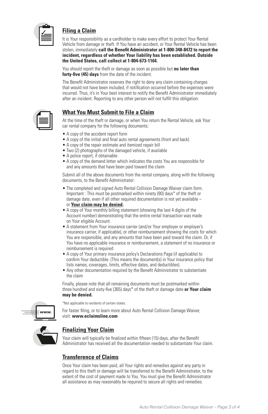

#### **Filing a Claim**

It is Your responsibility as a cardholder to make every effort to protect Your Rental Vehicle from damage or theft. If You have an accident, or Your Rental Vehicle has been stolen, immediately call the Benefit Administrator at 1-800-348-8472 to report the incident, regardless of whether Your liability has been established. Outside motion, regardless of whomer rear hability has the United States, call collect at 1-804-673-1164.

You should report the theft or damage as soon as possible but **no later than forty-five (45) days** from the date of the incident. Claim settled

The Benefit Administrator reserves the right to deny any claim containing charges that would not have been included, if notification occurred before the expenses were incurred. Thus, it's in Your best interest to notify the Benefit Administrator immediately after an incident. Reporting to any other person will not fulfill this obligation.

#### **What You Must Submit to File a Claim**

At the time of the theft or damage, or when You return the Rental Vehicle, ask Your car rental company for the following documents:

- A copy of the accident report form
- A copy of the initial and final auto rental agreements (front and back)
- A copy of the repair estimate and itemized repair bill
- Two (2) photographs of the damaged vehicle, if available
- A police report, if obtainable
- A copy of the demand letter which indicates the costs You are responsible for and any amounts that have been paid toward the claim

Submit all of the above documents from the rental company, along with the following documents, to the Benefit Administrator:

- The completed and signed Auto Rental Collision Damage Waiver claim form. **45 DAYS** Important : This must be postmarked within ninety (90) days\* of the theft or damage date, even if all other required documentation is not yet available  $$ or **Your claim may be denied.**
- A copy of Your monthly billing statement (showing the last 4 digits of the Account number) demonstrating that the entire rental transaction was made on Your eligible Account.
- A statement from Your insurance carrier (and/or Your employer or employer's insurance carrier, if applicable), or other reimbursement showing the costs for which You are responsible, and any amounts that have been paid toward the claim. Or, if You have no applicable insurance or reimbursement, a statement of no insurance or reimbursement is required
- A copy of Your primary insurance policy's Declarations Page (if applicable) to confirm Your deductible. (This means the document(s) in Your insurance policy that lists names, coverages, limits, effective dates, and deductibles).
- Any other documentation required by the Benefit Administrator to substantiate the claim

Finally, please note that all remaining documents must be postmarked within three hundred and sixty-five (365) days\* of the theft or damage date **or Your claim may be denied.**



\*Not applicable to residents of certain states.

For faster filing, or to learn more about Auto Rental Collision Damage Waiver, visit: **www.eclaimsline.com**



#### **Finalizing Your Claim**

Your claim will typically be finalized within fifteen (15) days, after the Benefit Administrator has received all the documentation needed to substantiate Your claim.

#### **Transference of Claims**

Once Your claim has been paid, all Your rights and remedies against any party in regard to this theft or damage will be transferred to the Benefit Administrator, to the extent of the cost of payment made to You. You must give the Benefit Administrator all assistance as may reasonably be required to secure all rights and remedies.